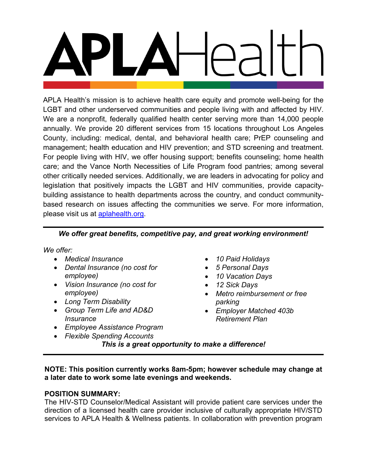APLA Health's mission is to achieve health care equity and promote well-being for the LGBT and other underserved communities and people living with and affected by HIV. We are a nonprofit, federally qualified health center serving more than 14,000 people annually. We provide 20 different services from 15 locations throughout Los Angeles County, including: medical, dental, and behavioral health care; PrEP counseling and management; health education and HIV prevention; and STD screening and treatment. For people living with HIV, we offer housing support; benefits counseling; home health care; and the Vance North Necessities of Life Program food pantries; among several other critically needed services. Additionally, we are leaders in advocating for policy and legislation that positively impacts the LGBT and HIV communities, provide capacitybuilding assistance to health departments across the country, and conduct communitybased research on issues affecting the communities we serve. For more information, please visit us at **aplahealth.org**.

# *We offer great benefits, competitive pay, and great working environment!*

*We offer:*

- *Medical Insurance*
- *Dental Insurance (no cost for employee)*
- *Vision Insurance (no cost for employee)*
- *Long Term Disability*
- *Group Term Life and AD&D Insurance*
- *Employee Assistance Program*
- *Flexible Spending Accounts*
- *10 Paid Holidays*
- *5 Personal Days*
- *10 Vacation Days*
- *12 Sick Days*
- *Metro reimbursement or free parking*
- *Employer Matched 403b Retirement Plan*

*This is a great opportunity to make a difference!*

**NOTE: This position currently works 8am-5pm; however schedule may change at a later date to work some late evenings and weekends.**

#### **POSITION SUMMARY:**

The HIV-STD Counselor/Medical Assistant will provide patient care services under the direction of a licensed health care provider inclusive of culturally appropriate HIV/STD services to APLA Health & Wellness patients. In collaboration with prevention program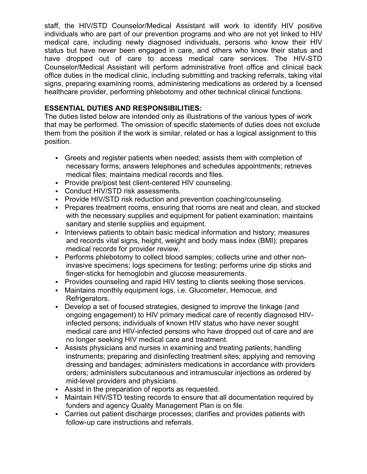staff, the HIV/STD Counselor/Medical Assistant will work to identify HIV positive individuals who are part of our prevention programs and who are not yet linked to HIV medical care, including newly diagnosed individuals, persons who know their HIV status but have never been engaged in care, and others who know their status and have dropped out of care to access medical care services. The HIV-STD Counselor/Medical Assistant will perform administrative front office and clinical back office duties in the medical clinic, including submitting and tracking referrals, taking vital signs, preparing examining rooms, administering medications as ordered by a licensed healthcare provider, performing phlebotomy and other technical clinical functions.

## **ESSENTIAL DUTIES AND RESPONSIBILITIES:**

The duties listed below are intended only as illustrations of the various types of work that may be performed. The omission of specific statements of duties does not exclude them from the position if the work is similar, related or has a logical assignment to this position.

- Greets and register patients when needed; assists them with completion of necessary forms; answers telephones and schedules appointments; retrieves medical files; maintains medical records and files.
- Provide pre/post test client-centered HIV counseling.
- Conduct HIV/STD risk assessments.
- **Provide HIV/STD risk reduction and prevention coaching/counseling.**
- Prepares treatment rooms, ensuring that rooms are neat and clean, and stocked with the necessary supplies and equipment for patient examination; maintains sanitary and sterile supplies and equipment.
- Interviews patients to obtain basic medical information and history; measures and records vital signs, height, weight and body mass index (BMI); prepares medical records for provider review.
- Performs phlebotomy to collect blood samples; collects urine and other noninvasive specimens; logs specimens for testing; performs urine dip sticks and finger-sticks for hemoglobin and glucose measurements.
- **Provides counseling and rapid HIV testing to clients seeking those services.**
- Maintains monthly equipment logs, i.e. Glucometer, Hemocue, and Refrigerators.
- Develop a set of focused strategies, designed to improve the linkage (and ongoing engagement) to HIV primary medical care of recently diagnosed HIVinfected persons; individuals of known HIV status who have never sought medical care and HIV-infected persons who have dropped out of care and are no longer seeking HIV medical care and treatment.
- Assists physicians and nurses in examining and treating patients; handling instruments; preparing and disinfecting treatment sites; applying and removing dressing and bandages; administers medications in accordance with providers orders; administers subcutaneous and intramuscular injections as ordered by mid-level providers and physicians.
- Assist in the preparation of reports as requested.
- Maintain HIV/STD testing records to ensure that all documentation required by funders and agency Quality Management Plan is on file.
- Carries out patient discharge processes; clarifies and provides patients with follow-up care instructions and referrals.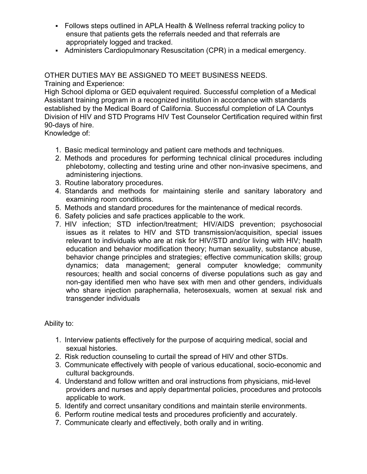- Follows steps outlined in APLA Health & Wellness referral tracking policy to ensure that patients gets the referrals needed and that referrals are appropriately logged and tracked.
- Administers Cardiopulmonary Resuscitation (CPR) in a medical emergency.

OTHER DUTIES MAY BE ASSIGNED TO MEET BUSINESS NEEDS. Training and Experience:

High School diploma or GED equivalent required. Successful completion of a Medical Assistant training program in a recognized institution in accordance with standards established by the Medical Board of California. Successful completion of LA Countys Division of HIV and STD Programs HIV Test Counselor Certification required within first 90-days of hire.

Knowledge of:

- 1. Basic medical terminology and patient care methods and techniques.
- 2. Methods and procedures for performing technical clinical procedures including phlebotomy, collecting and testing urine and other non-invasive specimens, and administering injections.
- 3. Routine laboratory procedures.
- 4. Standards and methods for maintaining sterile and sanitary laboratory and examining room conditions.
- 5. Methods and standard procedures for the maintenance of medical records.
- 6. Safety policies and safe practices applicable to the work.
- 7. HIV infection; STD infection/treatment; HIV/AIDS prevention; psychosocial issues as it relates to HIV and STD transmission/acquisition, special issues relevant to individuals who are at risk for HIV/STD and/or living with HIV; health education and behavior modification theory; human sexuality, substance abuse, behavior change principles and strategies; effective communication skills; group dynamics; data management; general computer knowledge; community resources; health and social concerns of diverse populations such as gay and non-gay identified men who have sex with men and other genders, individuals who share injection paraphernalia, heterosexuals, women at sexual risk and transgender individuals

Ability to:

- 1. Interview patients effectively for the purpose of acquiring medical, social and sexual histories.
- 2. Risk reduction counseling to curtail the spread of HIV and other STDs.
- 3. Communicate effectively with people of various educational, socio-economic and cultural backgrounds.
- 4. Understand and follow written and oral instructions from physicians, mid-level providers and nurses and apply departmental policies, procedures and protocols applicable to work.
- 5. Identify and correct unsanitary conditions and maintain sterile environments.
- 6. Perform routine medical tests and procedures proficiently and accurately.
- 7. Communicate clearly and effectively, both orally and in writing.